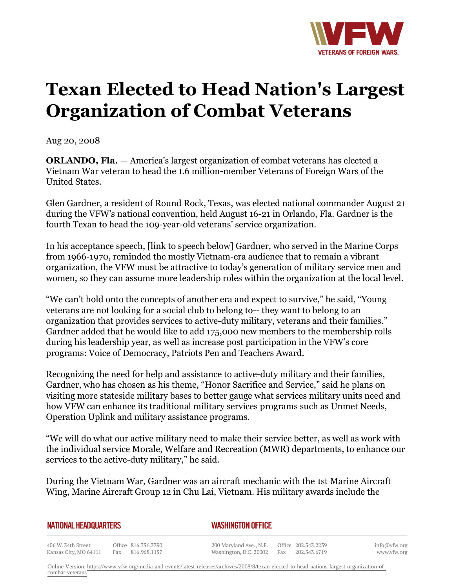

## **Texan Elected to Head Nation's Largest Organization of Combat Veterans**

Aug 20, 2008

**ORLANDO, Fla.** *—* America's largest organization of combat veterans has elected a Vietnam War veteran to head the 1.6 million-member Veterans of Foreign Wars of the United States.

Glen Gardner, a resident of Round Rock, Texas, was elected national commander August 21 during the VFW's national convention, held August 16-21 in Orlando, Fla. Gardner is the fourth Texan to head the 109-year-old veterans' service organization.

In his acceptance speech, [link to speech below] Gardner, who served in the Marine Corps from 1966-1970, reminded the mostly Vietnam-era audience that to remain a vibrant organization, the VFW must be attractive to today's generation of military service men and women, so they can assume more leadership roles within the organization at the local level.

"We can't hold onto the concepts of another era and expect to survive," he said, "Young veterans are not looking for a social club to belong to-- they want to belong to an organization that provides services to active-duty military, veterans and their families." Gardner added that he would like to add 175,000 new members to the membership rolls during his leadership year, as well as increase post participation in the VFW's core programs: Voice of Democracy, Patriots Pen and Teachers Award.

Recognizing the need for help and assistance to active-duty military and their families, Gardner, who has chosen as his theme, "Honor Sacrifice and Service," said he plans on visiting more stateside military bases to better gauge what services military units need and how VFW can enhance its traditional military services programs such as Unmet Needs, Operation Uplink and military assistance programs.

"We will do what our active military need to make their service better, as well as work with the individual service Morale, Welfare and Recreation (MWR) departments, to enhance our services to the active-duty military," he said.

During the Vietnam War, Gardner was an aircraft mechanic with the 1st Marine Aircraft Wing, Marine Aircraft Group 12 in Chu Lai, Vietnam. His military awards include the

| <b>NATIONAL HEADQUARTERS</b> |  |
|------------------------------|--|
|------------------------------|--|

*WASHINGTON OFFICE* 

406 W. 34th Street Office 816.756.3390 Kansas City, MO 64111 Fax 816.968.1157

200 Maryland Ave., N.E. Washington, D.C. 20002

Office 202.543.2239 Fax 202.543.6719

info@vfw.org www.vfw.org

Online Version: [https://www.vfw.org/media-and-events/latest-releases/archives/2008/8/texan-elected-to-head-nations-largest-organization-of](https://www.vfw.org/media-and-events/latest-releases/archives/2008/8/texan-elected-to-head-nations-largest-organization-of-combat-veterans)[combat-veterans](https://www.vfw.org/media-and-events/latest-releases/archives/2008/8/texan-elected-to-head-nations-largest-organization-of-combat-veterans)